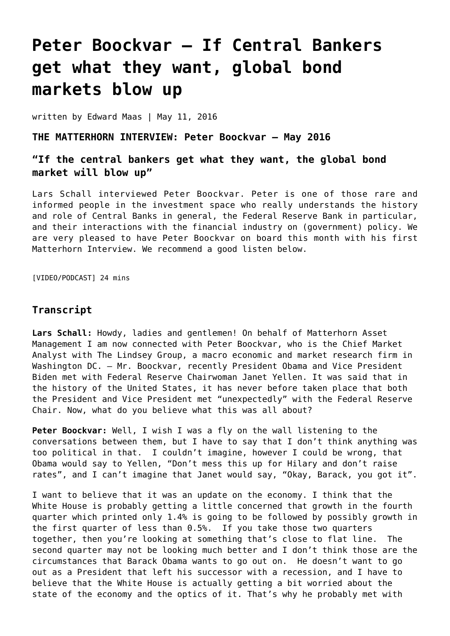# **[Peter Boockvar – If Central Bankers](https://goldswitzerland.com/peter-boockvar-if-central-bankers-get-what-they-want-global-bond-markets-blow-up/) [get what they want, global bond](https://goldswitzerland.com/peter-boockvar-if-central-bankers-get-what-they-want-global-bond-markets-blow-up/) [markets blow up](https://goldswitzerland.com/peter-boockvar-if-central-bankers-get-what-they-want-global-bond-markets-blow-up/)**

written by Edward Maas | May 11, 2016

## **THE MATTERHORN INTERVIEW: Peter Boockvar – May 2016**

# **"If the central bankers get what they want, the global bond market will blow up"**

Lars Schall interviewed Peter Boockvar. Peter is one of those rare and informed people in the investment space who really understands the history and role of Central Banks in general, the Federal Reserve Bank in particular, and their interactions with the financial industry on (government) policy. We are very pleased to have Peter Boockvar on board this month with his first Matterhorn Interview. We recommend a good listen below.

[VIDEO/PODCAST] 24 mins

## **Transcript**

**Lars Schall:** Howdy, ladies and gentlemen! On behalf of Matterhorn Asset Management I am now connected with Peter Boockvar, who is the Chief Market Analyst with The Lindsey Group, a macro economic and market research firm in Washington DC. – Mr. Boockvar, recently President Obama and Vice President Biden met with Federal Reserve Chairwoman Janet Yellen. It was said that in the history of the United States, it has never before taken place that both the President and Vice President met "unexpectedly" with the Federal Reserve Chair. Now, what do you believe what this was all about?

**Peter Boockvar:** Well, I wish I was a fly on the wall listening to the conversations between them, but I have to say that I don't think anything was too political in that. I couldn't imagine, however I could be wrong, that Obama would say to Yellen, "Don't mess this up for Hilary and don't raise rates", and I can't imagine that Janet would say, "Okay, Barack, you got it".

I want to believe that it was an update on the economy. I think that the White House is probably getting a little concerned that growth in the fourth quarter which printed only 1.4% is going to be followed by possibly growth in the first quarter of less than 0.5%. If you take those two quarters together, then you're looking at something that's close to flat line. The second quarter may not be looking much better and I don't think those are the circumstances that Barack Obama wants to go out on. He doesn't want to go out as a President that left his successor with a recession, and I have to believe that the White House is actually getting a bit worried about the state of the economy and the optics of it. That's why he probably met with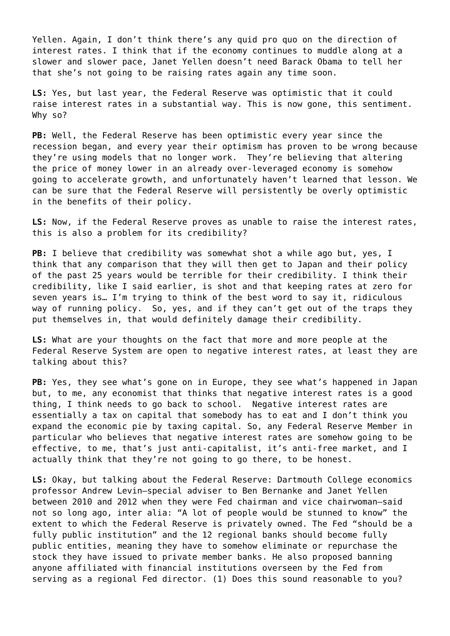Yellen. Again, I don't think there's any quid pro quo on the direction of interest rates. I think that if the economy continues to muddle along at a slower and slower pace, Janet Yellen doesn't need Barack Obama to tell her that she's not going to be raising rates again any time soon.

**LS:** Yes, but last year, the Federal Reserve was optimistic that it could raise interest rates in a substantial way. This is now gone, this sentiment. Why so?

**PB:** Well, the Federal Reserve has been optimistic every year since the recession began, and every year their optimism has proven to be wrong because they're using models that no longer work. They're believing that altering the price of money lower in an already over-leveraged economy is somehow going to accelerate growth, and unfortunately haven't learned that lesson. We can be sure that the Federal Reserve will persistently be overly optimistic in the benefits of their policy.

**LS:** Now, if the Federal Reserve proves as unable to raise the interest rates, this is also a problem for its credibility?

**PB:** I believe that credibility was somewhat shot a while ago but, yes, I think that any comparison that they will then get to Japan and their policy of the past 25 years would be terrible for their credibility. I think their credibility, like I said earlier, is shot and that keeping rates at zero for seven years is… I'm trying to think of the best word to say it, ridiculous way of running policy. So, yes, and if they can't get out of the traps they put themselves in, that would definitely damage their credibility.

**LS:** What are your thoughts on the fact that more and more people at the Federal Reserve System are open to negative interest rates, at least they are talking about this?

**PB:** Yes, they see what's gone on in Europe, they see what's happened in Japan but, to me, any economist that thinks that negative interest rates is a good thing, I think needs to go back to school. Negative interest rates are essentially a tax on capital that somebody has to eat and I don't think you expand the economic pie by taxing capital. So, any Federal Reserve Member in particular who believes that negative interest rates are somehow going to be effective, to me, that's just anti-capitalist, it's anti-free market, and I actually think that they're not going to go there, to be honest.

**LS:** Okay, but talking about the Federal Reserve: Dartmouth College economics professor Andrew Levin—special adviser to Ben Bernanke and Janet Yellen between 2010 and 2012 when they were Fed chairman and vice chairwoman—said not so long ago, inter alia: "A lot of people would be stunned to know" the extent to which the Federal Reserve is privately owned. The Fed "should be a fully public institution" and the 12 regional banks should become fully public entities, meaning they have to somehow eliminate or repurchase the stock they have issued to private member banks. He also proposed banning anyone affiliated with financial institutions overseen by the Fed from serving as a regional Fed director. (1) Does this sound reasonable to you?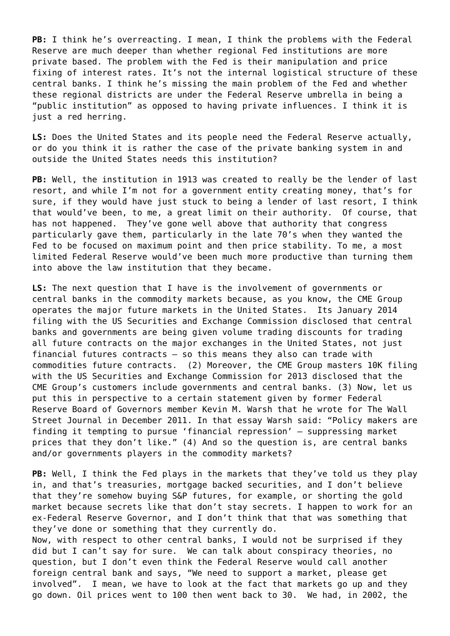**PB:** I think he's overreacting. I mean, I think the problems with the Federal Reserve are much deeper than whether regional Fed institutions are more private based. The problem with the Fed is their manipulation and price fixing of interest rates. It's not the internal logistical structure of these central banks. I think he's missing the main problem of the Fed and whether these regional districts are under the Federal Reserve umbrella in being a "public institution" as opposed to having private influences. I think it is just a red herring.

**LS:** Does the United States and its people need the Federal Reserve actually, or do you think it is rather the case of the private banking system in and outside the United States needs this institution?

**PB:** Well, the institution in 1913 was created to really be the lender of last resort, and while I'm not for a government entity creating money, that's for sure, if they would have just stuck to being a lender of last resort, I think that would've been, to me, a great limit on their authority. Of course, that has not happened. They've gone well above that authority that congress particularly gave them, particularly in the late 70's when they wanted the Fed to be focused on maximum point and then price stability. To me, a most limited Federal Reserve would've been much more productive than turning them into above the law institution that they became.

**LS:** The next question that I have is the involvement of governments or central banks in the commodity markets because, as you know, the CME Group operates the major future markets in the United States. Its January 2014 filing with the US Securities and Exchange Commission disclosed that central banks and governments are being given volume trading discounts for trading all future contracts on the major exchanges in the United States, not just financial futures contracts – so this means they also can trade with commodities future contracts. (2) Moreover, the CME Group masters 10K filing with the US Securities and Exchange Commission for 2013 disclosed that the CME Group's customers include governments and central banks. (3) Now, let us put this in perspective to a certain statement given by former Federal Reserve Board of Governors member Kevin M. Warsh that he wrote for The Wall Street Journal in December 2011. In that essay Warsh said: "Policy makers are finding it tempting to pursue 'financial repression' — suppressing market prices that they don't like." (4) And so the question is, are central banks and/or governments players in the commodity markets?

**PB:** Well, I think the Fed plays in the markets that they've told us they play in, and that's treasuries, mortgage backed securities, and I don't believe that they're somehow buying S&P futures, for example, or shorting the gold market because secrets like that don't stay secrets. I happen to work for an ex-Federal Reserve Governor, and I don't think that that was something that they've done or something that they currently do.

Now, with respect to other central banks, I would not be surprised if they did but I can't say for sure. We can talk about conspiracy theories, no question, but I don't even think the Federal Reserve would call another foreign central bank and says, "We need to support a market, please get involved". I mean, we have to look at the fact that markets go up and they go down. Oil prices went to 100 then went back to 30. We had, in 2002, the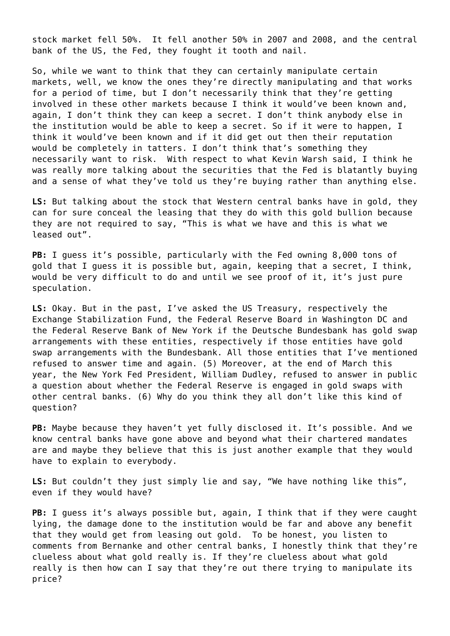stock market fell 50%. It fell another 50% in 2007 and 2008, and the central bank of the US, the Fed, they fought it tooth and nail.

So, while we want to think that they can certainly manipulate certain markets, well, we know the ones they're directly manipulating and that works for a period of time, but I don't necessarily think that they're getting involved in these other markets because I think it would've been known and, again, I don't think they can keep a secret. I don't think anybody else in the institution would be able to keep a secret. So if it were to happen, I think it would've been known and if it did get out then their reputation would be completely in tatters. I don't think that's something they necessarily want to risk. With respect to what Kevin Warsh said, I think he was really more talking about the securities that the Fed is blatantly buying and a sense of what they've told us they're buying rather than anything else.

**LS:** But talking about the stock that Western central banks have in gold, they can for sure conceal the leasing that they do with this gold bullion because they are not required to say, "This is what we have and this is what we leased out".

**PB:** I guess it's possible, particularly with the Fed owning 8,000 tons of gold that I guess it is possible but, again, keeping that a secret, I think, would be very difficult to do and until we see proof of it, it's just pure speculation.

**LS:** Okay. But in the past, I've asked the US Treasury, respectively the Exchange Stabilization Fund, the Federal Reserve Board in Washington DC and the Federal Reserve Bank of New York if the Deutsche Bundesbank has gold swap arrangements with these entities, respectively if those entities have gold swap arrangements with the Bundesbank. All those entities that I've mentioned refused to answer time and again. (5) Moreover, at the end of March this year, the New York Fed President, William Dudley, refused to answer in public a question about whether the Federal Reserve is engaged in gold swaps with other central banks. (6) Why do you think they all don't like this kind of question?

**PB:** Maybe because they haven't yet fully disclosed it. It's possible. And we know central banks have gone above and beyond what their chartered mandates are and maybe they believe that this is just another example that they would have to explain to everybody.

**LS:** But couldn't they just simply lie and say, "We have nothing like this", even if they would have?

**PB:** I guess it's always possible but, again, I think that if they were caught lying, the damage done to the institution would be far and above any benefit that they would get from leasing out gold. To be honest, you listen to comments from Bernanke and other central banks, I honestly think that they're clueless about what gold really is. If they're clueless about what gold really is then how can I say that they're out there trying to manipulate its price?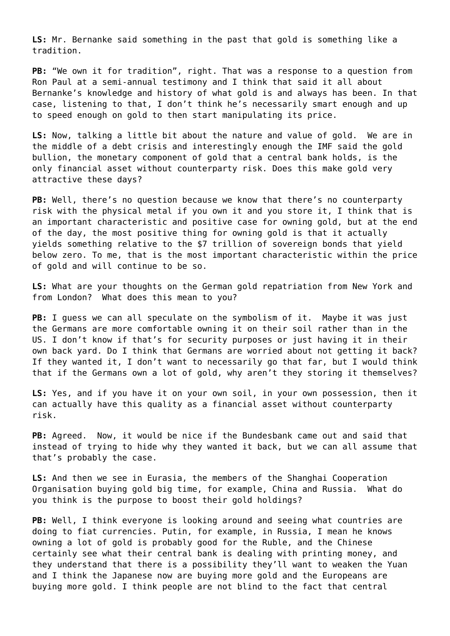**LS:** Mr. Bernanke said something in the past that gold is something like a tradition.

**PB:** "We own it for tradition", right. That was a response to a question from Ron Paul at a semi-annual testimony and I think that said it all about Bernanke's knowledge and history of what gold is and always has been. In that case, listening to that, I don't think he's necessarily smart enough and up to speed enough on gold to then start manipulating its price.

**LS:** Now, talking a little bit about the nature and value of gold. We are in the middle of a debt crisis and interestingly enough the IMF said the gold bullion, the monetary component of gold that a central bank holds, is the only financial asset without counterparty risk. Does this make gold very attractive these days?

**PB:** Well, there's no question because we know that there's no counterparty risk with the physical metal if you own it and you store it, I think that is an important characteristic and positive case for owning gold, but at the end of the day, the most positive thing for owning gold is that it actually yields something relative to the \$7 trillion of sovereign bonds that yield below zero. To me, that is the most important characteristic within the price of gold and will continue to be so.

**LS:** What are your thoughts on the German gold repatriation from New York and from London? What does this mean to you?

**PB:** I guess we can all speculate on the symbolism of it. Maybe it was just the Germans are more comfortable owning it on their soil rather than in the US. I don't know if that's for security purposes or just having it in their own back yard. Do I think that Germans are worried about not getting it back? If they wanted it, I don't want to necessarily go that far, but I would think that if the Germans own a lot of gold, why aren't they storing it themselves?

**LS:** Yes, and if you have it on your own soil, in your own possession, then it can actually have this quality as a financial asset without counterparty risk.

**PB:** Agreed. Now, it would be nice if the Bundesbank came out and said that instead of trying to hide why they wanted it back, but we can all assume that that's probably the case.

**LS:** And then we see in Eurasia, the members of the Shanghai Cooperation Organisation buying gold big time, for example, China and Russia. What do you think is the purpose to boost their gold holdings?

**PB:** Well, I think everyone is looking around and seeing what countries are doing to fiat currencies. Putin, for example, in Russia, I mean he knows owning a lot of gold is probably good for the Ruble, and the Chinese certainly see what their central bank is dealing with printing money, and they understand that there is a possibility they'll want to weaken the Yuan and I think the Japanese now are buying more gold and the Europeans are buying more gold. I think people are not blind to the fact that central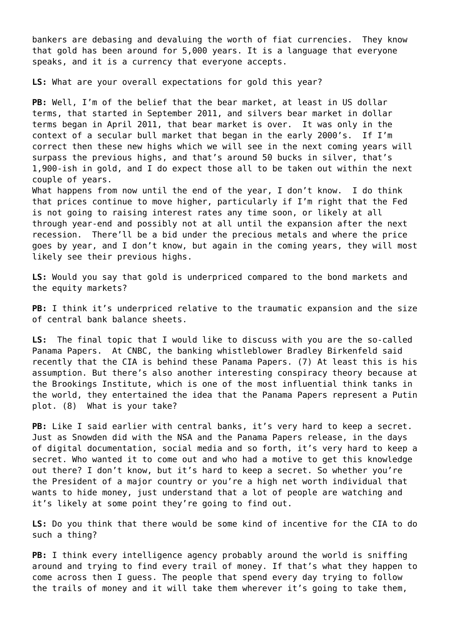bankers are debasing and devaluing the worth of fiat currencies. They know that gold has been around for 5,000 years. It is a language that everyone speaks, and it is a currency that everyone accepts.

**LS:** What are your overall expectations for gold this year?

**PB:** Well, I'm of the belief that the bear market, at least in US dollar terms, that started in September 2011, and silvers bear market in dollar terms began in April 2011, that bear market is over. It was only in the context of a secular bull market that began in the early 2000's. If I'm correct then these new highs which we will see in the next coming years will surpass the previous highs, and that's around 50 bucks in silver, that's 1,900-ish in gold, and I do expect those all to be taken out within the next couple of years.

What happens from now until the end of the year, I don't know. I do think that prices continue to move higher, particularly if I'm right that the Fed is not going to raising interest rates any time soon, or likely at all through year-end and possibly not at all until the expansion after the next recession. There'll be a bid under the precious metals and where the price goes by year, and I don't know, but again in the coming years, they will most likely see their previous highs.

**LS:** Would you say that gold is underpriced compared to the bond markets and the equity markets?

**PB:** I think it's underpriced relative to the traumatic expansion and the size of central bank balance sheets.

**LS:** The final topic that I would like to discuss with you are the so-called Panama Papers. At CNBC, the banking whistleblower Bradley Birkenfeld said recently that the CIA is behind these Panama Papers. (7) At least this is his assumption. But there's also another interesting conspiracy theory because at the Brookings Institute, which is one of the most influential think tanks in the world, they entertained the idea that the Panama Papers represent a Putin plot. (8) What is your take?

**PB:** Like I said earlier with central banks, it's very hard to keep a secret. Just as Snowden did with the NSA and the Panama Papers release, in the days of digital documentation, social media and so forth, it's very hard to keep a secret. Who wanted it to come out and who had a motive to get this knowledge out there? I don't know, but it's hard to keep a secret. So whether you're the President of a major country or you're a high net worth individual that wants to hide money, just understand that a lot of people are watching and it's likely at some point they're going to find out.

**LS:** Do you think that there would be some kind of incentive for the CIA to do such a thing?

**PB:** I think every intelligence agency probably around the world is sniffing around and trying to find every trail of money. If that's what they happen to come across then I guess. The people that spend every day trying to follow the trails of money and it will take them wherever it's going to take them,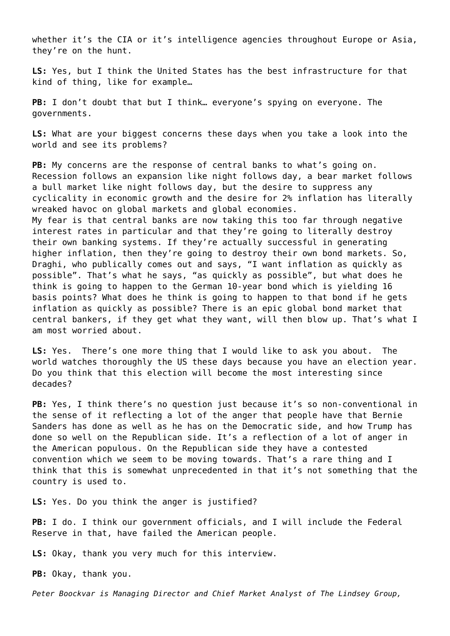whether it's the CIA or it's intelligence agencies throughout Europe or Asia, they're on the hunt.

**LS:** Yes, but I think the United States has the best infrastructure for that kind of thing, like for example…

**PB:** I don't doubt that but I think… everyone's spying on everyone. The governments.

**LS:** What are your biggest concerns these days when you take a look into the world and see its problems?

**PB:** My concerns are the response of central banks to what's going on. Recession follows an expansion like night follows day, a bear market follows a bull market like night follows day, but the desire to suppress any cyclicality in economic growth and the desire for 2% inflation has literally wreaked havoc on global markets and global economies. My fear is that central banks are now taking this too far through negative interest rates in particular and that they're going to literally destroy their own banking systems. If they're actually successful in generating higher inflation, then they're going to destroy their own bond markets. So, Draghi, who publically comes out and says, "I want inflation as quickly as possible". That's what he says, "as quickly as possible", but what does he think is going to happen to the German 10-year bond which is yielding 16 basis points? What does he think is going to happen to that bond if he gets inflation as quickly as possible? There is an epic global bond market that central bankers, if they get what they want, will then blow up. That's what I am most worried about.

**LS:** Yes. There's one more thing that I would like to ask you about. The world watches thoroughly the US these days because you have an election year. Do you think that this election will become the most interesting since decades?

**PB:** Yes, I think there's no question just because it's so non-conventional in the sense of it reflecting a lot of the anger that people have that Bernie Sanders has done as well as he has on the Democratic side, and how Trump has done so well on the Republican side. It's a reflection of a lot of anger in the American populous. On the Republican side they have a contested convention which we seem to be moving towards. That's a rare thing and I think that this is somewhat unprecedented in that it's not something that the country is used to.

**LS:** Yes. Do you think the anger is justified?

**PB:** I do. I think our government officials, and I will include the Federal Reserve in that, have failed the American people.

**LS:** Okay, thank you very much for this interview.

**PB:** Okay, thank you.

*Peter Boockvar is Managing Director and Chief Market Analyst of The Lindsey Group,*